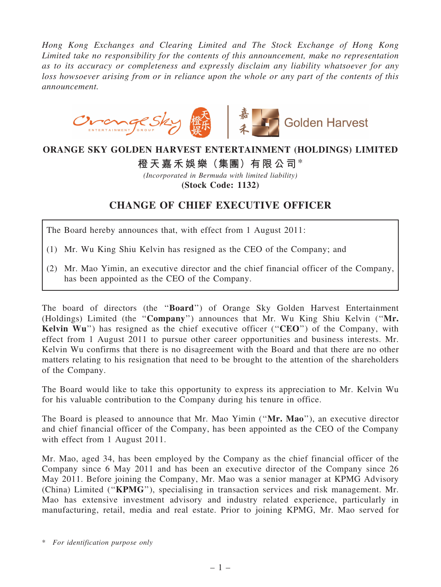*Hong Kong Exchanges and Clearing Limited and The Stock Exchange of Hong Kong Limited take no responsibility for the contents of this announcement, make no representation as to its accuracy or completeness and expressly disclaim any liability whatsoever for any loss howsoever arising from or in reliance upon the whole or any part of the contents of this announcement.*



## ORANGE SKY GOLDEN HARVEST ENTERTAINMENT (HOLDINGS) LIMITED

## 橙天嘉禾娛樂(集團)有限公司\*

*(Incorporated in Bermuda with limited liability)* (Stock Code: 1132)

## CHANGE OF CHIEF EXECUTIVE OFFICER

The Board hereby announces that, with effect from 1 August 2011:

- (1) Mr. Wu King Shiu Kelvin has resigned as the CEO of the Company; and
- (2) Mr. Mao Yimin, an executive director and the chief financial officer of the Company, has been appointed as the CEO of the Company.

The board of directors (the ''Board'') of Orange Sky Golden Harvest Entertainment (Holdings) Limited (the ''Company'') announces that Mr. Wu King Shiu Kelvin (''Mr. Kelvin Wu") has resigned as the chief executive officer ("CEO") of the Company, with effect from 1 August 2011 to pursue other career opportunities and business interests. Mr. Kelvin Wu confirms that there is no disagreement with the Board and that there are no other matters relating to his resignation that need to be brought to the attention of the shareholders of the Company.

The Board would like to take this opportunity to express its appreciation to Mr. Kelvin Wu for his valuable contribution to the Company during his tenure in office.

The Board is pleased to announce that Mr. Mao Yimin ("Mr. Mao"), an executive director and chief financial officer of the Company, has been appointed as the CEO of the Company with effect from 1 August 2011.

Mr. Mao, aged 34, has been employed by the Company as the chief financial officer of the Company since 6 May 2011 and has been an executive director of the Company since 26 May 2011. Before joining the Company, Mr. Mao was a senior manager at KPMG Advisory (China) Limited (''KPMG''), specialising in transaction services and risk management. Mr. Mao has extensive investment advisory and industry related experience, particularly in manufacturing, retail, media and real estate. Prior to joining KPMG, Mr. Mao served for

<sup>\*</sup> *For identification purpose only*